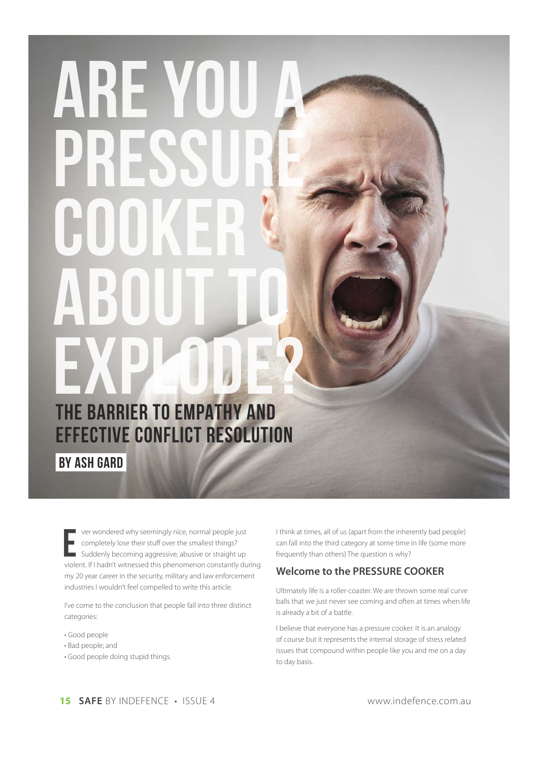## ARE YOU THE BARRIER TO EMPATHY AND EFFECTIVE CONFLICT RESOLUTION **BY ASH GARD**

ver wondered why seemingly nice, normal people just completely lose their stuff over the smallest things? Suddenly becoming aggressive, abusive or straight up violent. If I hadn't witnessed this phenomenon constantly during my 20 year career in the security, military and law enforcement industries I wouldn't feel compelled to write this article.

I've come to the conclusion that people fall into three distinct categories:

- · Good people
- · Bad people; and
- · Good people doing stupid things.

I think at times, all of us (apart from the inherently bad people) can fall into the third category at some time in life (some more frequently than others) The question is why?

## Welcome to the PRESSURE COOKER

Ultimately life is a roller-coaster. We are thrown some real curve balls that we just never see coming and often at times when life is already a bit of a battle.

I believe that everyone has a pressure cooker. It is an analogy of course but it represents the internal storage of stress related issues that compound within people like you and me on a day to day basis.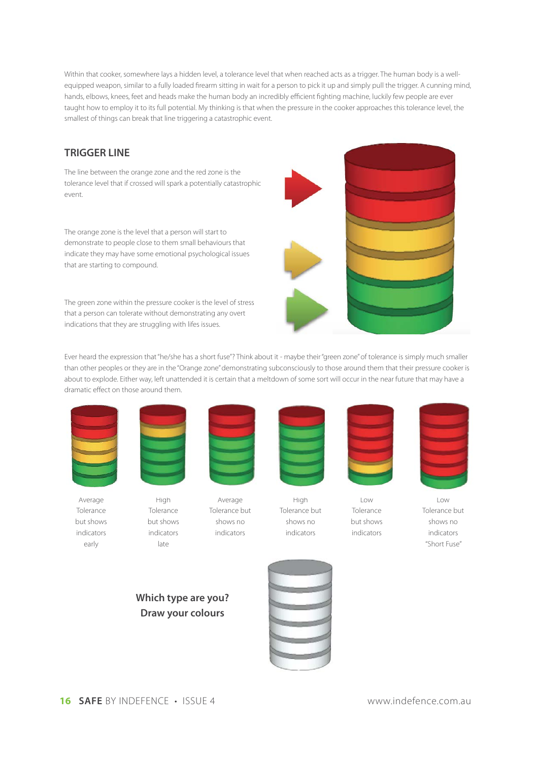Within that cooker, somewhere lays a hidden level, a tolerance level that when reached acts as a trigger. The human body is a wellequipped weapon, similar to a fully loaded firearm sitting in wait for a person to pick it up and simply pull the trigger. A cunning mind, hands, elbows, knees, feet and heads make the human body an incredibly efficient fighting machine, luckily few people are ever taught how to employ it to its full potential. My thinking is that when the pressure in the cooker approaches this tolerance level, the smallest of things can break that line triggering a catastrophic event.

## **TRIGGER LINE**

The line between the orange zone and the red zone is the tolerance level that if crossed will spark a potentially catastrophic event.

The orange zone is the level that a person will start to demonstrate to people close to them small behaviours that indicate they may have some emotional psychological issues that are starting to compound.

The green zone within the pressure cooker is the level of stress that a person can tolerate without demonstrating any overt indications that they are struggling with lifes issues.



Ever heard the expression that "he/she has a short fuse"? Think about it - maybe their "green zone" of tolerance is simply much smaller than other peoples or they are in the "Orange zone" demonstrating subconsciously to those around them that their pressure cooker is about to explode. Either way, left unattended it is certain that a meltdown of some sort will occur in the near future that may have a dramatic effect on those around them.



Average Tolerance but shows indicators early



late

High Tolerance but shows indicators



Average Tolerance but shows no indicators



High Tolerance but shows no indicators



Low Tolerance but shows indicators



Low Tolerance but shows no indicators "Short Fuse"





**16 SAFE** BY INDEFENCE • ISSUE 4 www.indefence.com.au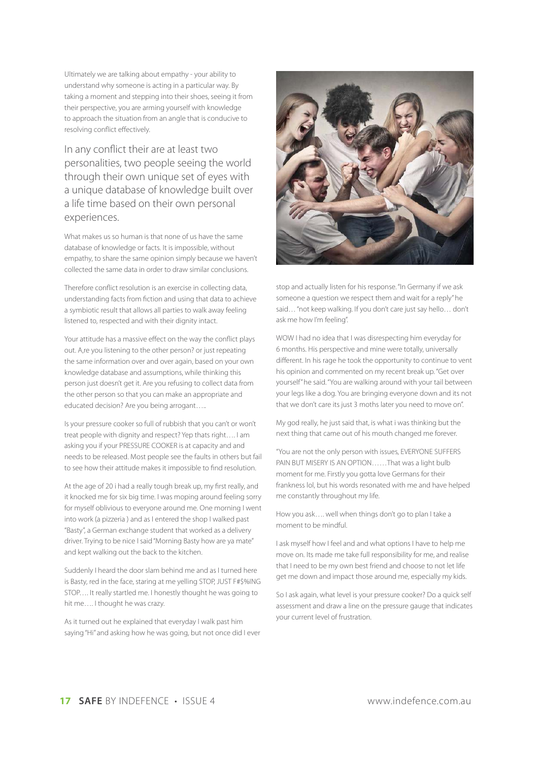Ultimately we are talking about empathy - your ability to understand why someone is acting in a particular way. By taking a moment and stepping into their shoes, seeing it from their perspective, you are arming yourself with knowledge to approach the situation from an angle that is conducive to resolving conflict effectively.

In any conflict their are at least two personalities, two people seeing the world through their own unique set of eyes with a unique database of knowledge built over a life time based on their own personal experiences.

What makes us so human is that none of us have the same database of knowledge or facts. It is impossible, without empathy, to share the same opinion simply because we haven't collected the same data in order to draw similar conclusions.

Therefore conflict resolution is an exercise in collecting data, understanding facts from fiction and using that data to achieve a symbiotic result that allows all parties to walk away feeling listened to, respected and with their dignity intact.

Your attitude has a massive effect on the way the conflict plays out. A,re you listening to the other person? or just repeating the same information over and over again, based on your own knowledge database and assumptions, while thinking this person just doesn't get it. Are you refusing to collect data from the other person so that you can make an appropriate and educated decision? Are you being arrogant…..

Is your pressure cooker so full of rubbish that you can't or won't treat people with dignity and respect? Yep thats right…. I am asking you if your PRESSURE COOKER is at capacity and and needs to be released. Most people see the faults in others but fail to see how their attitude makes it impossible to find resolution.

At the age of 20 i had a really tough break up, my first really, and it knocked me for six big time. I was moping around feeling sorry for myself oblivious to everyone around me. One morning I went into work (a pizzeria ) and as I entered the shop I walked past "Basty", a German exchange student that worked as a delivery driver. Trying to be nice I said "Morning Basty how are ya mate" and kept walking out the back to the kitchen.

Suddenly I heard the door slam behind me and as I turned here is Basty, red in the face, staring at me yelling STOP, JUST F#\$%ING STOP…. It really startled me. I honestly thought he was going to hit me…. I thought he was crazy.

As it turned out he explained that everyday I walk past him saying "Hi" and asking how he was going, but not once did I ever



stop and actually listen for his response. "In Germany if we ask someone a question we respect them and wait for a reply" he said… "not keep walking. If you don't care just say hello… don't ask me how I'm feeling".

WOW I had no idea that I was disrespecting him everyday for 6 months. His perspective and mine were totally, universally different. In his rage he took the opportunity to continue to vent his opinion and commented on my recent break up. "Get over yourself" he said. "You are walking around with your tail between your legs like a dog. You are bringing everyone down and its not that we don't care its just 3 moths later you need to move on".

My god really, he just said that, is what i was thinking but the next thing that came out of his mouth changed me forever.

"You are not the only person with issues, EVERYONE SUFFERS PAIN BUT MISERY IS AN OPTION……That was a light bulb moment for me. Firstly you gotta love Germans for their frankness lol, but his words resonated with me and have helped me constantly throughout my life.

How you ask…. well when things don't go to plan I take a moment to be mindful.

I ask myself how I feel and and what options I have to help me move on. Its made me take full responsibility for me, and realise that I need to be my own best friend and choose to not let life get me down and impact those around me, especially my kids.

So I ask again, what level is your pressure cooker? Do a quick self assessment and draw a line on the pressure gauge that indicates your current level of frustration.